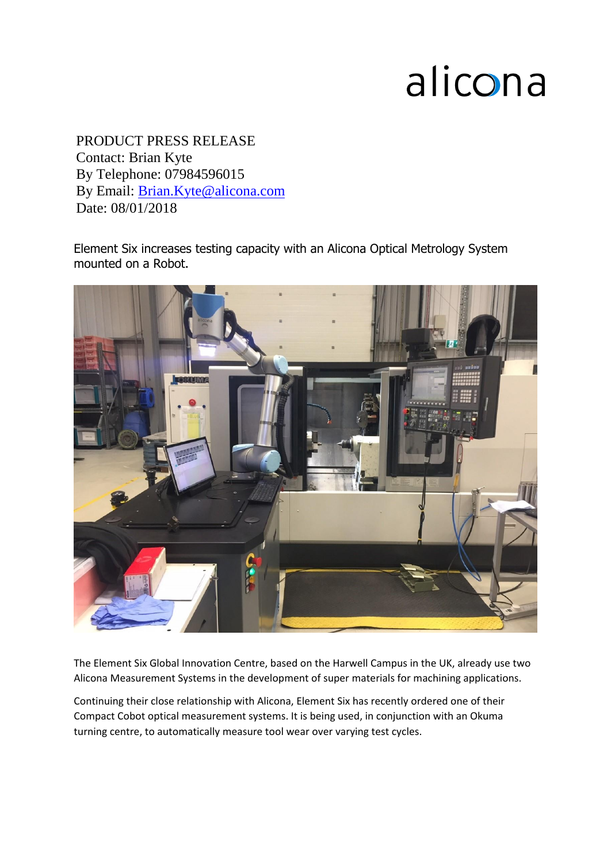## alicona

PRODUCT PRESS RELEASE Contact: Brian Kyte 5 6 By Telephone: 07984596015 By Email: [Brian.Kyte@alicona.com](mailto:Brian.Kyte@alicona.com) Date: 08/01/2018

Element Six increases testing capacity with an Alicona Optical Metrology System mounted on a Robot.



The Element Six Global Innovation Centre, based on the Harwell Campus in the UK, already use two Alicona Measurement Systems in the development of super materials for machining applications.

Continuing their close relationship with Alicona, Element Six has recently ordered one of their Compact Cobot optical measurement systems. It is being used, in conjunction with an Okuma turning centre, to automatically measure tool wear over varying test cycles.